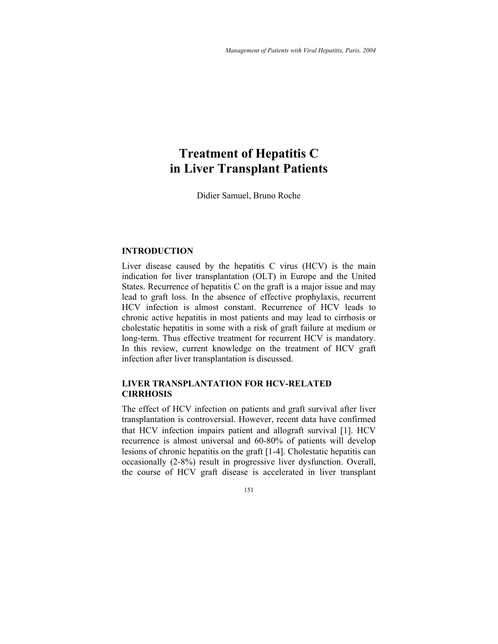# **Treatment of Hepatitis C in Liver Transplant Patients**

Didier Samuel, Bruno Roche

#### **INTRODUCTION**

Liver disease caused by the hepatitis C virus (HCV) is the main indication for liver transplantation (OLT) in Europe and the United States. Recurrence of hepatitis C on the graft is a major issue and may lead to graft loss. In the absence of effective prophylaxis, recurrent HCV infection is almost constant. Recurrence of HCV leads to chronic active hepatitis in most patients and may lead to cirrhosis or cholestatic hepatitis in some with a risk of graft failure at medium or long-term. Thus effective treatment for recurrent HCV is mandatory. In this review, current knowledge on the treatment of HCV graft infection after liver transplantation is discussed.

# **LIVER TRANSPLANTATION FOR HCV-RELATED CIRRHOSIS**

The effect of HCV infection on patients and graft survival after liver transplantation is controversial. However, recent data have confirmed that HCV infection impairs patient and allograft survival [1]. HCV recurrence is almost universal and 60-80% of patients will develop lesions of chronic hepatitis on the graft [1-4]. Cholestatic hepatitis can occasionally (2-8%) result in progressive liver dysfunction. Overall, the course of HCV graft disease is accelerated in liver transplant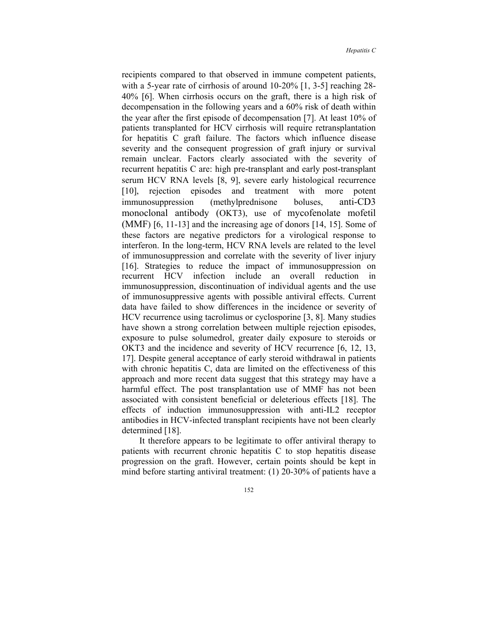recipients compared to that observed in immune competent patients, with a 5-year rate of cirrhosis of around 10-20% [1, 3-5] reaching 28- 40% [6]. When cirrhosis occurs on the graft, there is a high risk of decompensation in the following years and a 60% risk of death within the year after the first episode of decompensation [7]. At least 10% of patients transplanted for HCV cirrhosis will require retransplantation for hepatitis C graft failure. The factors which influence disease severity and the consequent progression of graft injury or survival remain unclear. Factors clearly associated with the severity of recurrent hepatitis C are: high pre-transplant and early post-transplant serum HCV RNA levels [8, 9], severe early histological recurrence [10], rejection episodes and treatment with more potent immunosuppression (methylprednisone boluses, anti-CD3 monoclonal antibody (OKT3), use of mycofenolate mofetil (MMF) [6, 11-13] and the increasing age of donors [14, 15]. Some of these factors are negative predictors for a virological response to interferon. In the long-term, HCV RNA levels are related to the level of immunosuppression and correlate with the severity of liver injury [16]. Strategies to reduce the impact of immunosuppression on recurrent HCV infection include an overall reduction in immunosuppression, discontinuation of individual agents and the use of immunosuppressive agents with possible antiviral effects. Current data have failed to show differences in the incidence or severity of HCV recurrence using tacrolimus or cyclosporine [3, 8]. Many studies have shown a strong correlation between multiple rejection episodes, exposure to pulse solumedrol, greater daily exposure to steroids or OKT3 and the incidence and severity of HCV recurrence [6, 12, 13, 17]. Despite general acceptance of early steroid withdrawal in patients with chronic hepatitis C, data are limited on the effectiveness of this approach and more recent data suggest that this strategy may have a harmful effect. The post transplantation use of MMF has not been associated with consistent beneficial or deleterious effects [18]. The effects of induction immunosuppression with anti-IL2 receptor antibodies in HCV-infected transplant recipients have not been clearly determined [18].

It therefore appears to be legitimate to offer antiviral therapy to patients with recurrent chronic hepatitis C to stop hepatitis disease progression on the graft. However, certain points should be kept in mind before starting antiviral treatment: (1) 20-30% of patients have a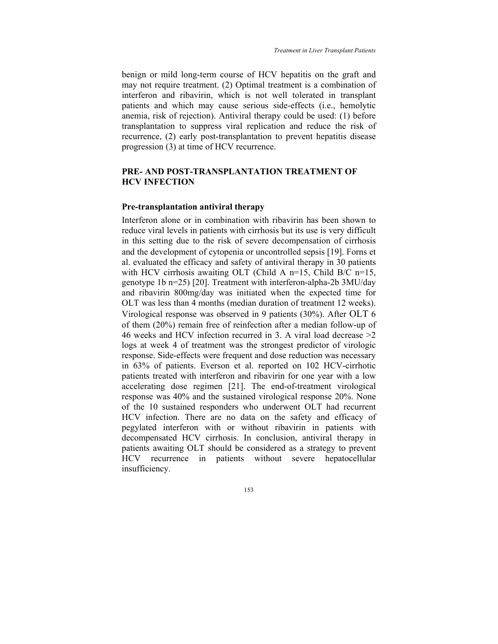benign or mild long-term course of HCV hepatitis on the graft and may not require treatment. (2) Optimal treatment is a combination of interferon and ribavirin, which is not well tolerated in transplant patients and which may cause serious side-effects (i.e., hemolytic anemia, risk of rejection). Antiviral therapy could be used: (1) before transplantation to suppress viral replication and reduce the risk of recurrence, (2) early post-transplantation to prevent hepatitis disease progression (3) at time of HCV recurrence.

# **PRE- AND POST-TRANSPLANTATION TREATMENT OF HCV INFECTION**

#### **Pre-transplantation antiviral therapy**

Interferon alone or in combination with ribavirin has been shown to reduce viral levels in patients with cirrhosis but its use is very difficult in this setting due to the risk of severe decompensation of cirrhosis and the development of cytopenia or uncontrolled sepsis [19]. Forns et al. evaluated the efficacy and safety of antiviral therapy in 30 patients with HCV cirrhosis awaiting OLT (Child A n=15, Child B/C n=15, genotype 1b n=25) [20]. Treatment with interferon-alpha-2b 3MU/day and ribavirin 800mg/day was initiated when the expected time for OLT was less than 4 months (median duration of treatment 12 weeks). Virological response was observed in 9 patients (30%). After OLT 6 of them (20%) remain free of reinfection after a median follow-up of 46 weeks and HCV infection recurred in 3. A viral load decrease >2 logs at week 4 of treatment was the strongest predictor of virologic response. Side-effects were frequent and dose reduction was necessary in 63% of patients. Everson et al. reported on 102 HCV-cirrhotic patients treated with interferon and ribavirin for one year with a low accelerating dose regimen [21]. The end-of-treatment virological response was 40% and the sustained virological response 20%. None of the 10 sustained responders who underwent OLT had recurrent HCV infection. There are no data on the safety and efficacy of pegylated interferon with or without ribavirin in patients with decompensated HCV cirrhosis. In conclusion, antiviral therapy in patients awaiting OLT should be considered as a strategy to prevent HCV recurrence in patients without severe hepatocellular insufficiency.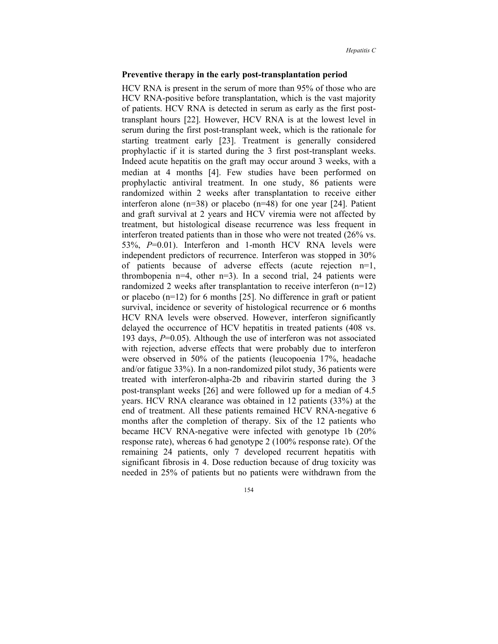#### **Preventive therapy in the early post-transplantation period**

HCV RNA is present in the serum of more than 95% of those who are HCV RNA-positive before transplantation, which is the vast majority of patients. HCV RNA is detected in serum as early as the first posttransplant hours [22]. However, HCV RNA is at the lowest level in serum during the first post-transplant week, which is the rationale for starting treatment early [23]. Treatment is generally considered prophylactic if it is started during the 3 first post-transplant weeks. Indeed acute hepatitis on the graft may occur around 3 weeks, with a median at 4 months [4]. Few studies have been performed on prophylactic antiviral treatment. In one study, 86 patients were randomized within 2 weeks after transplantation to receive either interferon alone (n=38) or placebo (n=48) for one year [24]. Patient and graft survival at 2 years and HCV viremia were not affected by treatment, but histological disease recurrence was less frequent in interferon treated patients than in those who were not treated (26% vs. 53%, *P*=0.01). Interferon and 1-month HCV RNA levels were independent predictors of recurrence. Interferon was stopped in 30% of patients because of adverse effects (acute rejection n=1, thrombopenia  $n=4$ , other  $n=3$ ). In a second trial, 24 patients were randomized 2 weeks after transplantation to receive interferon (n=12) or placebo (n=12) for 6 months [25]. No difference in graft or patient survival, incidence or severity of histological recurrence or 6 months HCV RNA levels were observed. However, interferon significantly delayed the occurrence of HCV hepatitis in treated patients (408 vs. 193 days, *P*=0.05). Although the use of interferon was not associated with rejection, adverse effects that were probably due to interferon were observed in 50% of the patients (leucopoenia 17%, headache and/or fatigue 33%). In a non-randomized pilot study, 36 patients were treated with interferon-alpha-2b and ribavirin started during the 3 post-transplant weeks [26] and were followed up for a median of 4.5 years. HCV RNA clearance was obtained in 12 patients (33%) at the end of treatment. All these patients remained HCV RNA-negative 6 months after the completion of therapy. Six of the 12 patients who became HCV RNA-negative were infected with genotype 1b (20% response rate), whereas 6 had genotype 2 (100% response rate). Of the remaining 24 patients, only 7 developed recurrent hepatitis with significant fibrosis in 4. Dose reduction because of drug toxicity was needed in 25% of patients but no patients were withdrawn from the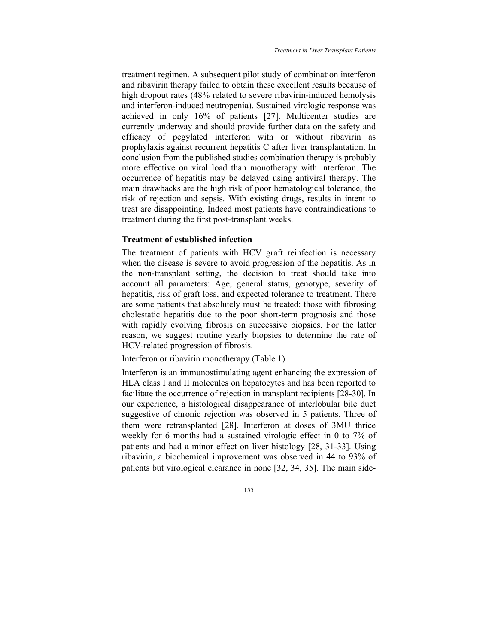treatment regimen. A subsequent pilot study of combination interferon and ribavirin therapy failed to obtain these excellent results because of high dropout rates (48% related to severe ribavirin-induced hemolysis and interferon-induced neutropenia). Sustained virologic response was achieved in only 16% of patients [27]. Multicenter studies are currently underway and should provide further data on the safety and efficacy of pegylated interferon with or without ribavirin as prophylaxis against recurrent hepatitis C after liver transplantation. In conclusion from the published studies combination therapy is probably more effective on viral load than monotherapy with interferon. The occurrence of hepatitis may be delayed using antiviral therapy. The main drawbacks are the high risk of poor hematological tolerance, the risk of rejection and sepsis. With existing drugs, results in intent to treat are disappointing. Indeed most patients have contraindications to treatment during the first post-transplant weeks.

#### **Treatment of established infection**

The treatment of patients with HCV graft reinfection is necessary when the disease is severe to avoid progression of the hepatitis. As in the non-transplant setting, the decision to treat should take into account all parameters: Age, general status, genotype, severity of hepatitis, risk of graft loss, and expected tolerance to treatment. There are some patients that absolutely must be treated: those with fibrosing cholestatic hepatitis due to the poor short-term prognosis and those with rapidly evolving fibrosis on successive biopsies. For the latter reason, we suggest routine yearly biopsies to determine the rate of HCV-related progression of fibrosis.

#### Interferon or ribavirin monotherapy (Table 1)

Interferon is an immunostimulating agent enhancing the expression of HLA class I and II molecules on hepatocytes and has been reported to facilitate the occurrence of rejection in transplant recipients [28-30]. In our experience, a histological disappearance of interlobular bile duct suggestive of chronic rejection was observed in 5 patients. Three of them were retransplanted [28]. Interferon at doses of 3MU thrice weekly for 6 months had a sustained virologic effect in 0 to 7% of patients and had a minor effect on liver histology [28, 31-33]. Using ribavirin, a biochemical improvement was observed in 44 to 93% of patients but virological clearance in none [32, 34, 35]. The main side-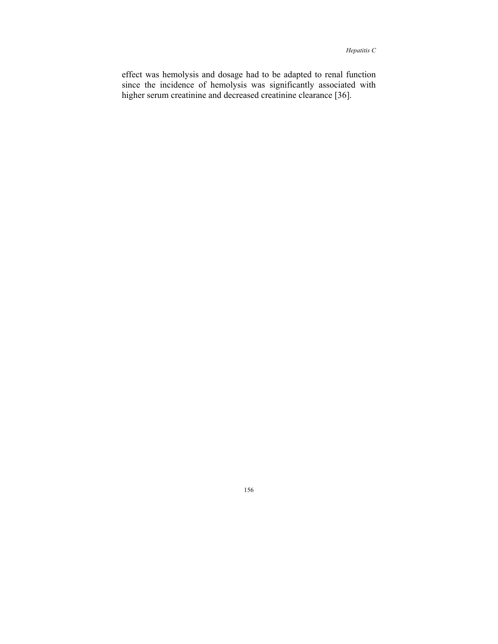effect was hemolysis and dosage had to be adapted to renal function since the incidence of hemolysis was significantly associated with higher serum creatinine and decreased creatinine clearance [36].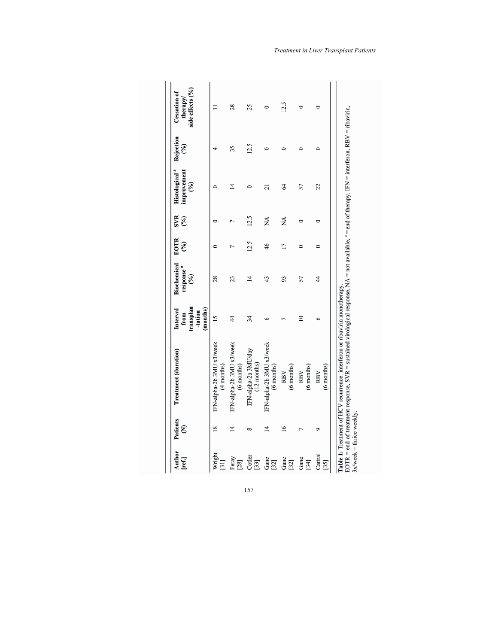| Author<br>[ref.]            | Patients<br>Ê   | Treatment (duration)                                                                                                                                                                                                                | transplan<br>(months)<br>Interval<br>-tation<br>from | Biochemical<br>response"<br>(%) | EOTR<br>$\mathcal{E}(\mathcal{E})$ | <b>SVR</b><br>(%) | Histological <sup>a</sup><br>improvement<br>(%) | Rejection<br>$(\%)$ | side effects (%)<br><b>Cessation of</b><br>therapy/ |
|-----------------------------|-----------------|-------------------------------------------------------------------------------------------------------------------------------------------------------------------------------------------------------------------------------------|------------------------------------------------------|---------------------------------|------------------------------------|-------------------|-------------------------------------------------|---------------------|-----------------------------------------------------|
| Wright<br>$[31]$            | $\frac{8}{2}$   | IFN-alpha-2b 3MU x3/week<br>$(4$ months)                                                                                                                                                                                            | 15                                                   | 28                              |                                    | $\circ$           |                                                 |                     |                                                     |
| Feray<br>$[28]$             | $\overline{1}$  | IFN-alpha-2b 3MU x3/week<br>(6 months)                                                                                                                                                                                              | $\frac{4}{3}$                                        | 23                              |                                    | 7                 | ᅼ                                               | 35                  | 28                                                  |
| Cotler<br>$[33]$            | ∞               | IFN-alpha-2a 3MU/day<br>$(12 \text{ months})$                                                                                                                                                                                       | 34                                                   | 4                               | 12.5                               | 12.5              |                                                 | 12.5                | 25                                                  |
| Gane<br>$[32]$              | $\overline{4}$  | IFN-alpha-2b 3MU x3/week<br>(6 months)                                                                                                                                                                                              | $\circ$                                              | 43                              | 46                                 | ₹                 | ត                                               | 0                   | $\circ$                                             |
| Gane<br>$[32]$              | $\overline{16}$ | (6 months)<br>RBV                                                                                                                                                                                                                   |                                                      | 93                              | $\overline{17}$                    | MÃ                | 64                                              | 0                   | 12.5                                                |
| Gane<br>[34]                |                 | (6 months)<br>RBV                                                                                                                                                                                                                   | $\overline{\phantom{0}}$                             | 57                              |                                    | $\circ$           | 57                                              | 0                   | 0                                                   |
| Cattral<br>$[35]$           |                 | $(6$ months)<br>RBV                                                                                                                                                                                                                 | $\circ$                                              | $\frac{4}{3}$                   | 0                                  | $\circ$           | 22                                              | 0                   | 0                                                   |
| $3x$ /week = thrice weekly. |                 | EOTR = end-of-treatment-response, SVR = sustained virological response, $NA$ = not available, $a$ = end of therapy, IFN = interferon, RBV = ribavirin,<br>Table 1: Treatment of HCV recurrence: interferon or ribavirin monotherapy |                                                      |                                 |                                    |                   |                                                 |                     |                                                     |

*Treatment in Liver Transplant Patients*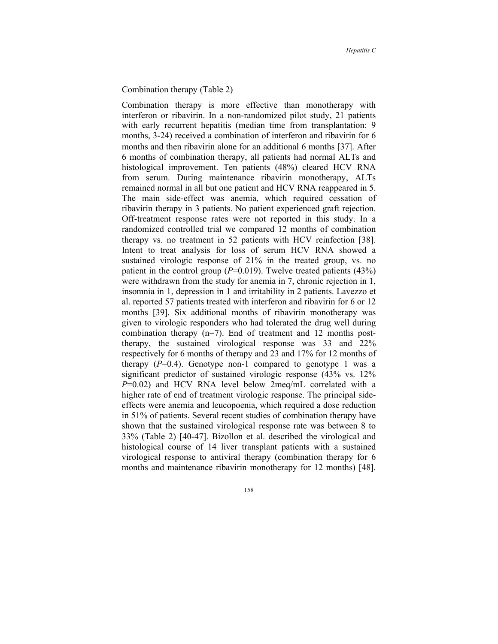#### Combination therapy (Table 2)

Combination therapy is more effective than monotherapy with interferon or ribavirin. In a non-randomized pilot study, 21 patients with early recurrent hepatitis (median time from transplantation: 9 months, 3-24) received a combination of interferon and ribavirin for 6 months and then ribavirin alone for an additional 6 months [37]. After 6 months of combination therapy, all patients had normal ALTs and histological improvement. Ten patients (48%) cleared HCV RNA from serum. During maintenance ribavirin monotherapy, ALTs remained normal in all but one patient and HCV RNA reappeared in 5. The main side-effect was anemia, which required cessation of ribavirin therapy in 3 patients. No patient experienced graft rejection. Off-treatment response rates were not reported in this study. In a randomized controlled trial we compared 12 months of combination therapy vs. no treatment in 52 patients with HCV reinfection [38]. Intent to treat analysis for loss of serum HCV RNA showed a sustained virologic response of 21% in the treated group, vs. no patient in the control group  $(P=0.019)$ . Twelve treated patients  $(43%)$ were withdrawn from the study for anemia in 7, chronic rejection in 1, insomnia in 1, depression in 1 and irritability in 2 patients. Lavezzo et al. reported 57 patients treated with interferon and ribavirin for 6 or 12 months [39]. Six additional months of ribavirin monotherapy was given to virologic responders who had tolerated the drug well during combination therapy (n=7). End of treatment and 12 months posttherapy, the sustained virological response was 33 and 22% respectively for 6 months of therapy and 23 and 17% for 12 months of therapy  $(P=0.4)$ . Genotype non-1 compared to genotype 1 was a significant predictor of sustained virologic response (43% vs. 12% *P*=0.02) and HCV RNA level below 2meq/mL correlated with a higher rate of end of treatment virologic response. The principal sideeffects were anemia and leucopoenia, which required a dose reduction in 51% of patients. Several recent studies of combination therapy have shown that the sustained virological response rate was between 8 to 33% (Table 2) [40-47]. Bizollon et al. described the virological and histological course of 14 liver transplant patients with a sustained virological response to antiviral therapy (combination therapy for 6 months and maintenance ribavirin monotherapy for 12 months) [48].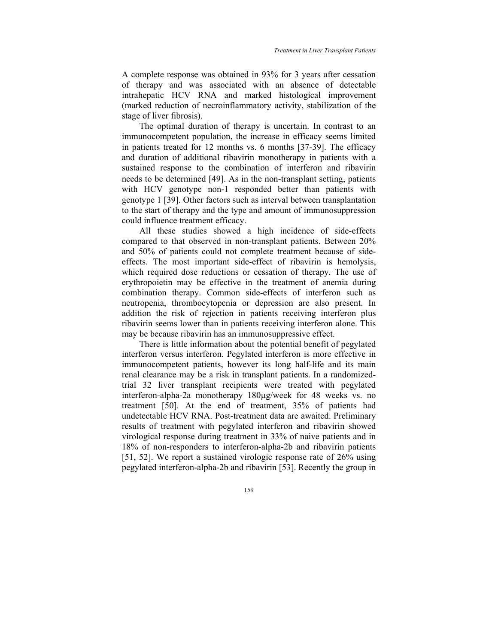A complete response was obtained in 93% for 3 years after cessation of therapy and was associated with an absence of detectable intrahepatic HCV RNA and marked histological improvement (marked reduction of necroinflammatory activity, stabilization of the stage of liver fibrosis).

The optimal duration of therapy is uncertain. In contrast to an immunocompetent population, the increase in efficacy seems limited in patients treated for 12 months vs. 6 months [37-39]. The efficacy and duration of additional ribavirin monotherapy in patients with a sustained response to the combination of interferon and ribavirin needs to be determined [49]. As in the non-transplant setting, patients with HCV genotype non-1 responded better than patients with genotype 1 [39]. Other factors such as interval between transplantation to the start of therapy and the type and amount of immunosuppression could influence treatment efficacy.

All these studies showed a high incidence of side-effects compared to that observed in non-transplant patients. Between 20% and 50% of patients could not complete treatment because of sideeffects. The most important side-effect of ribavirin is hemolysis, which required dose reductions or cessation of therapy. The use of erythropoietin may be effective in the treatment of anemia during combination therapy. Common side-effects of interferon such as neutropenia, thrombocytopenia or depression are also present. In addition the risk of rejection in patients receiving interferon plus ribavirin seems lower than in patients receiving interferon alone. This may be because ribavirin has an immunosuppressive effect.

There is little information about the potential benefit of pegylated interferon versus interferon. Pegylated interferon is more effective in immunocompetent patients, however its long half-life and its main renal clearance may be a risk in transplant patients. In a randomizedtrial 32 liver transplant recipients were treated with pegylated interferon-alpha-2a monotherapy 180µg/week for 48 weeks vs. no treatment [50]. At the end of treatment, 35% of patients had undetectable HCV RNA. Post-treatment data are awaited. Preliminary results of treatment with pegylated interferon and ribavirin showed virological response during treatment in 33% of naive patients and in 18% of non-responders to interferon-alpha-2b and ribavirin patients [51, 52]. We report a sustained virologic response rate of 26% using pegylated interferon-alpha-2b and ribavirin [53]. Recently the group in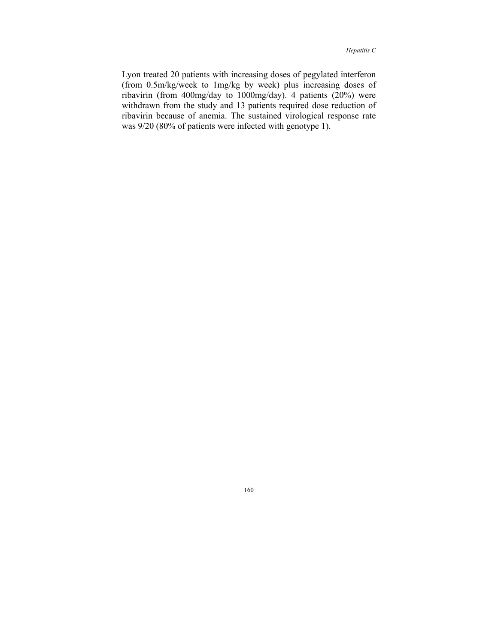Lyon treated 20 patients with increasing doses of pegylated interferon (from 0.5m/kg/week to 1mg/kg by week) plus increasing doses of ribavirin (from 400mg/day to 1000mg/day). 4 patients (20%) were withdrawn from the study and 13 patients required dose reduction of ribavirin because of anemia. The sustained virological response rate was 9/20 (80% of patients were infected with genotype 1).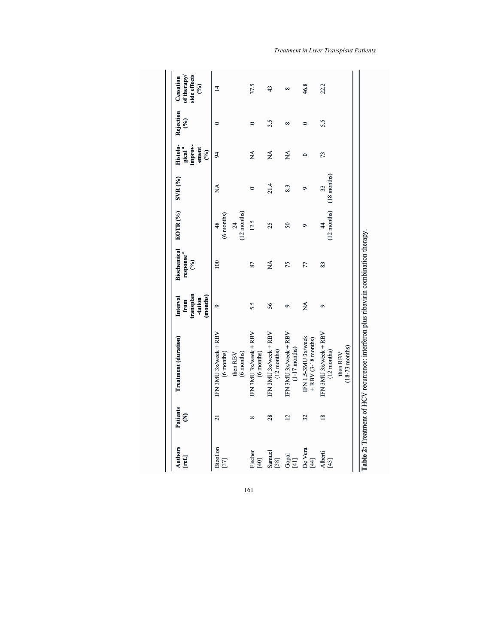|                                                         |                                                                        | transplan<br>(months)<br>-tation<br>from | response "<br>(%) | EOTR <sub>(%)</sub>                                  | SVR (%)             | Histolo-<br>gical <sup>a</sup><br>improv-<br>ement<br>(%) | Rejection<br>$\mathcal{E}$ | side effects<br>of therapy<br>(%) |
|---------------------------------------------------------|------------------------------------------------------------------------|------------------------------------------|-------------------|------------------------------------------------------|---------------------|-----------------------------------------------------------|----------------------------|-----------------------------------|
| 21<br>Bizollon<br>$[37]$                                | IFN 3MU 3x/week + RBV<br>(6 months)<br>(6 months)<br>then RBV          | ۹                                        | 100               | $(12$ months)<br>(6 months)<br>$\overline{24}$<br>48 | ΧÁ                  | 94                                                        | $\bullet$                  | ᅼ                                 |
| $\infty$<br>Fischer<br>$[40]$                           | IFN 3MU 3x/week + RBV<br>(6 months)                                    | 5.5                                      | 87                | 12.5                                                 | $\circ$             | $\mathbb{X}^{\mathsf{A}}$                                 | $\circ$                    | 37.5                              |
| 28<br>Samuel<br>[38]                                    | IFN 3MU 3x/week + RBV<br>$(12$ months)                                 | 56                                       | ΧÁ                | 25                                                   | 21.4                | ХÁ                                                        | 3.5                        | 43                                |
| $\overline{2}$<br>$\mathbf{G}\mathbf{p}\mathbf{a}$ [41] | IFN 3MU 3x/week + RBV<br>$(1-17$ months)                               | ٥                                        | 75                | 50                                                   | 8.3                 | MÃ                                                        | $\infty$                   | 8                                 |
| 32<br>De Vera<br>[44]                                   | IFN 1.5-3MU 3x/week<br>$+$ RBV (3-18 months)                           | ₹                                        | 77                | 9                                                    | $\circ$             | $\circ$                                                   | $\circ$                    | 46.8                              |
| $\overline{18}$<br>Alberti<br>[43]                      | IFN 3MU 3x/week + RBV<br>$(18-73$ months)<br>$(12$ months)<br>then RBV | 9                                        | 83                | $(12$ months)<br>$\frac{4}{3}$                       | $(18$ months)<br>33 | 73                                                        | 5.5                        | 22.2                              |

*Treatment in Liver Transplant Patients*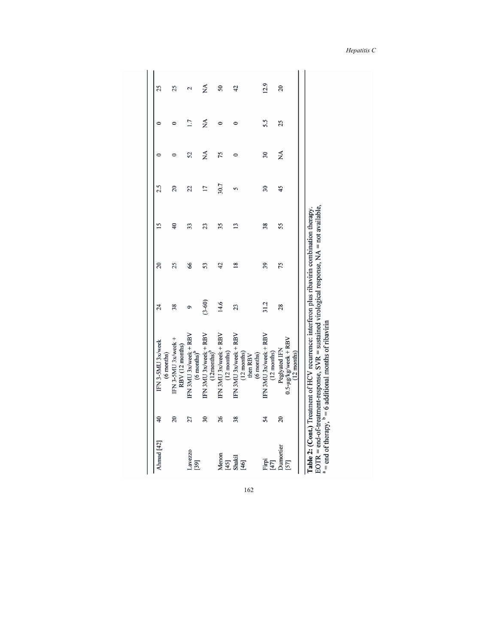| Ahmad [42]                 |                          |                                                                                                                                                                                                                                                                |            |                |                 |                 |                          |         |                |
|----------------------------|--------------------------|----------------------------------------------------------------------------------------------------------------------------------------------------------------------------------------------------------------------------------------------------------------|------------|----------------|-----------------|-----------------|--------------------------|---------|----------------|
|                            | $\overline{4}$           | IFN 3-5MU 3x/week<br>(6 months)                                                                                                                                                                                                                                | $^{24}$    | $\overline{c}$ | $\overline{15}$ | 2.5             | $\circ$                  | 0       | 25             |
|                            | 20                       | IFN 3-5MU 3x/week +<br>RBV (12 months)                                                                                                                                                                                                                         | 38         | 25             | $\overline{40}$ | $\overline{c}$  | $\circ$                  | $\circ$ | 25             |
| Lavezzo<br>$[39]$          | 27                       | IFN 3MU 3x/week + RBV<br>$(6$ months $)^t$                                                                                                                                                                                                                     | $\circ$    | 66             | 33              | 22              | 52                       | 1.7     | 2              |
|                            | $\overline{\mathbf{30}}$ | IFN 3MU 3x/week + RBV<br>$(12$ months $)^{b}$                                                                                                                                                                                                                  | $(3 - 60)$ | 53             | 23              | $\overline{17}$ | ÁX                       | Á       | ₹              |
| Menon                      | 26                       | IFN 3MU 3x/week + RBV<br>$(12 \text{ months})$                                                                                                                                                                                                                 | 14.6       | 42             | 35              | 30.7            | 75                       | $\circ$ | 50             |
| $[45]$<br>Shakil<br>$[46]$ | 38                       | IFN 3MU 3x/week + RBV<br>$(12 \text{ months})$<br>(6 months)<br>then RBV                                                                                                                                                                                       | 23         | $\frac{8}{16}$ | $\overline{13}$ | 5               | $\circ$                  | $\circ$ | 42             |
| Firpi<br>$[47]$            | 54                       | IFN 3MU 3x/week + RBV<br>$(12$ months)                                                                                                                                                                                                                         | 31.2       | 39             | 38              | $\overline{30}$ | $\overline{\mathbf{30}}$ | 5.5     | 12.9           |
| Dumortier<br>[57]          | $\overline{c}$           | $0.5 - \mu g/kg$ /week + RBV<br>Peglyated IFN<br>$(12$ months)                                                                                                                                                                                                 | 28         | 75             | 55              | 45              | ΧÁ                       | 25      | $\overline{c}$ |
|                            |                          | EOTR = end-of-treatment-response, SVR = sustained virological response, $NA$ = not available,<br>Table 2: $(Cont)$ Treatment of HCV recurrence: interferon plus ribavirin combination therapy.<br>$a =$ end of therapy, $b = 6$ additional months of ribavirin |            |                |                 |                 |                          |         |                |

*Hepatitis C*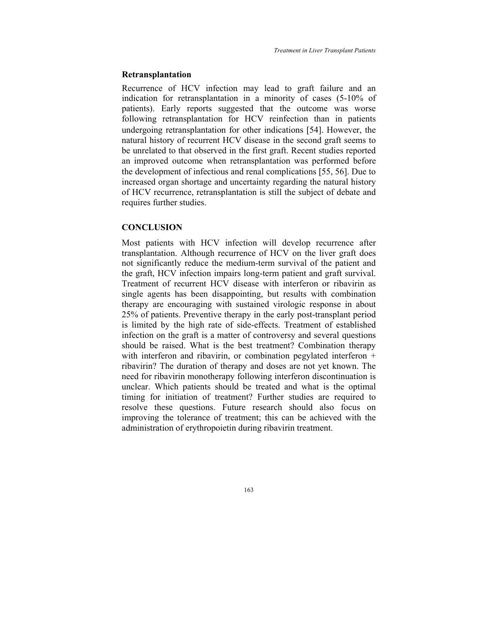#### **Retransplantation**

Recurrence of HCV infection may lead to graft failure and an indication for retransplantation in a minority of cases (5-10% of patients). Early reports suggested that the outcome was worse following retransplantation for HCV reinfection than in patients undergoing retransplantation for other indications [54]. However, the natural history of recurrent HCV disease in the second graft seems to be unrelated to that observed in the first graft. Recent studies reported an improved outcome when retransplantation was performed before the development of infectious and renal complications [55, 56]. Due to increased organ shortage and uncertainty regarding the natural history of HCV recurrence, retransplantation is still the subject of debate and requires further studies.

# **CONCLUSION**

Most patients with HCV infection will develop recurrence after transplantation. Although recurrence of HCV on the liver graft does not significantly reduce the medium-term survival of the patient and the graft, HCV infection impairs long-term patient and graft survival. Treatment of recurrent HCV disease with interferon or ribavirin as single agents has been disappointing, but results with combination therapy are encouraging with sustained virologic response in about 25% of patients. Preventive therapy in the early post-transplant period is limited by the high rate of side-effects. Treatment of established infection on the graft is a matter of controversy and several questions should be raised. What is the best treatment? Combination therapy with interferon and ribavirin, or combination pegylated interferon + ribavirin? The duration of therapy and doses are not yet known. The need for ribavirin monotherapy following interferon discontinuation is unclear. Which patients should be treated and what is the optimal timing for initiation of treatment? Further studies are required to resolve these questions. Future research should also focus on improving the tolerance of treatment; this can be achieved with the administration of erythropoietin during ribavirin treatment.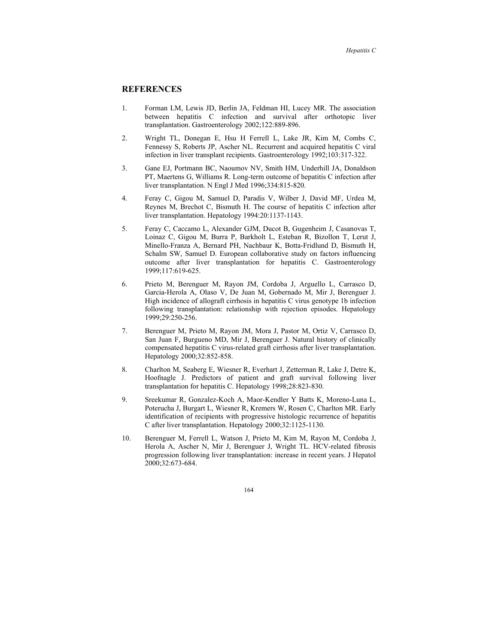## **REFERENCES**

- 1. Forman LM, Lewis JD, Berlin JA, Feldman HI, Lucey MR. The association between hepatitis C infection and survival after orthotopic liver transplantation. Gastroenterology 2002;122:889-896.
- 2. Wright TL, Donegan E, Hsu H Ferrell L, Lake JR, Kim M, Combs C, Fennessy S, Roberts JP, Ascher NL. Recurrent and acquired hepatitis C viral infection in liver transplant recipients. Gastroenterology 1992;103:317-322.
- 3. Gane EJ, Portmann BC, Naoumov NV, Smith HM, Underhill JA, Donaldson PT, Maertens G, Williams R. Long-term outcome of hepatitis C infection after liver transplantation. N Engl J Med 1996;334:815-820.
- 4. Feray C, Gigou M, Samuel D, Paradis V, Wilber J, David MF, Urdea M, Reynes M, Brechot C, Bismuth H. The course of hepatitis C infection after liver transplantation. Hepatology 1994:20:1137-1143.
- 5. Feray C, Caccamo L, Alexander GJM, Ducot B, Gugenheim J, Casanovas T, Loinaz C, Gigou M, Burra P, Barkholt L, Esteban R, Bizollon T, Lerut J, Minello-Franza A, Bernard PH, Nachbaur K, Botta-Fridlund D, Bismuth H, Schalm SW, Samuel D. European collaborative study on factors influencing outcome after liver transplantation for hepatitis C. Gastroenterology 1999;117:619-625.
- 6. Prieto M, Berenguer M, Rayon JM, Cordoba J, Arguello L, Carrasco D, Garcia-Herola A, Olaso V, De Juan M, Gobernado M, Mir J, Berenguer J. High incidence of allograft cirrhosis in hepatitis C virus genotype 1b infection following transplantation: relationship with rejection episodes. Hepatology 1999;29:250-256.
- 7. Berenguer M, Prieto M, Rayon JM, Mora J, Pastor M, Ortiz V, Carrasco D, San Juan F, Burgueno MD, Mir J, Berenguer J. Natural history of clinically compensated hepatitis C virus-related graft cirrhosis after liver transplantation. Hepatology 2000;32:852-858.
- 8. Charlton M, Seaberg E, Wiesner R, Everhart J, Zetterman R, Lake J, Detre K, Hoofnagle J. Predictors of patient and graft survival following liver transplantation for hepatitis C. Hepatology 1998;28:823-830.
- 9. Sreekumar R, Gonzalez-Koch A, Maor-Kendler Y Batts K, Moreno-Luna L, Poterucha J, Burgart L, Wiesner R, Kremers W, Rosen C, Charlton MR. Early identification of recipients with progressive histologic recurrence of hepatitis C after liver transplantation. Hepatology 2000;32:1125-1130.
- 10. Berenguer M, Ferrell L, Watson J, Prieto M, Kim M, Rayon M, Cordoba J, Herola A, Ascher N, Mir J, Berenguer J, Wright TL. HCV-related fibrosis progression following liver transplantation: increase in recent years. J Hepatol 2000;32:673-684.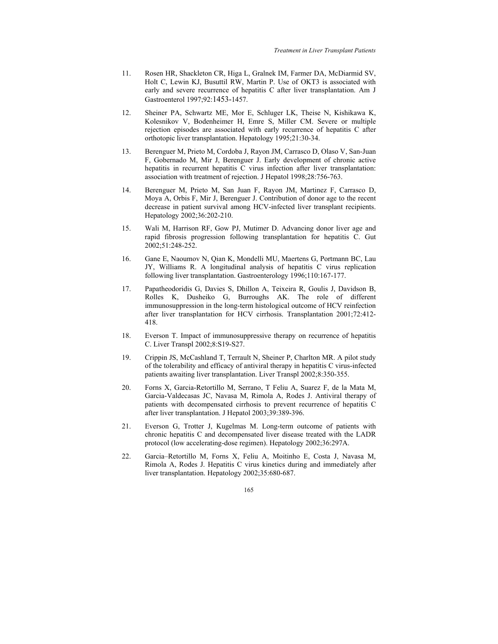- 11. Rosen HR, Shackleton CR, Higa L, Gralnek IM, Farmer DA, McDiarmid SV, Holt C, Lewin KJ, Busuttil RW, Martin P. Use of OKT3 is associated with early and severe recurrence of hepatitis C after liver transplantation. Am J Gastroenterol 1997;92:1453-1457.
- 12. Sheiner PA, Schwartz ME, Mor E, Schluger LK, Theise N, Kishikawa K, Kolesnikov V, Bodenheimer H, Emre S, Miller CM. Severe or multiple rejection episodes are associated with early recurrence of hepatitis C after orthotopic liver transplantation. Hepatology 1995;21:30-34.
- 13. Berenguer M, Prieto M, Cordoba J, Rayon JM, Carrasco D, Olaso V, San-Juan F, Gobernado M, Mir J, Berenguer J. Early development of chronic active hepatitis in recurrent hepatitis C virus infection after liver transplantation: association with treatment of rejection. J Hepatol 1998;28:756-763.
- 14. Berenguer M, Prieto M, San Juan F, Rayon JM, Martinez F, Carrasco D, Moya A, Orbis F, Mir J, Berenguer J. Contribution of donor age to the recent decrease in patient survival among HCV-infected liver transplant recipients. Hepatology 2002;36:202-210.
- 15. Wali M, Harrison RF, Gow PJ, Mutimer D. Advancing donor liver age and rapid fibrosis progression following transplantation for hepatitis C. Gut 2002;51:248-252.
- 16. Gane E, Naoumov N, Qian K, Mondelli MU, Maertens G, Portmann BC, Lau JY, Williams R. A longitudinal analysis of hepatitis C virus replication following liver transplantation. Gastroenterology 1996;110:167-177.
- 17. Papatheodoridis G, Davies S, Dhillon A, Teixeira R, Goulis J, Davidson B, Rolles K, Dusheiko G, Burroughs AK. The role of different immunosuppression in the long-term histological outcome of HCV reinfection after liver transplantation for HCV cirrhosis. Transplantation 2001;72:412- 418.
- 18. Everson T. Impact of immunosuppressive therapy on recurrence of hepatitis C. Liver Transpl 2002;8:S19-S27.
- 19. Crippin JS, McCashland T, Terrault N, Sheiner P, Charlton MR. A pilot study of the tolerability and efficacy of antiviral therapy in hepatitis C virus-infected patients awaiting liver transplantation. Liver Transpl 2002;8:350-355.
- 20. Forns X, Garcia-Retortillo M, Serrano, T Feliu A, Suarez F, de la Mata M, Garcia-Valdecasas JC, Navasa M, Rimola A, Rodes J. Antiviral therapy of patients with decompensated cirrhosis to prevent recurrence of hepatitis C after liver transplantation. J Hepatol 2003;39:389-396.
- 21. Everson G, Trotter J, Kugelmas M. Long-term outcome of patients with chronic hepatitis C and decompensated liver disease treated with the LADR protocol (low accelerating-dose regimen). Hepatology 2002;36:297A.
- 22. Garcia–Retortillo M, Forns X, Feliu A, Moitinho E, Costa J, Navasa M, Rimola A, Rodes J. Hepatitis C virus kinetics during and immediately after liver transplantation. Hepatology 2002;35:680-687.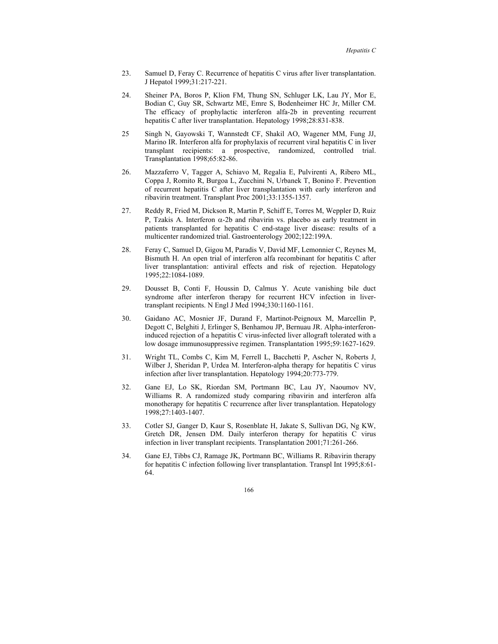- 23. Samuel D, Feray C. Recurrence of hepatitis C virus after liver transplantation. J Hepatol 1999;31:217-221.
- 24. Sheiner PA, Boros P, Klion FM, Thung SN, Schluger LK, Lau JY, Mor E, Bodian C, Guy SR, Schwartz ME, Emre S, Bodenheimer HC Jr, Miller CM. The efficacy of prophylactic interferon alfa-2b in preventing recurrent hepatitis C after liver transplantation. Hepatology 1998;28:831-838.
- 25 Singh N, Gayowski T, Wannstedt CF, Shakil AO, Wagener MM, Fung JJ, Marino IR. Interferon alfa for prophylaxis of recurrent viral hepatitis C in liver transplant recipients: a prospective, randomized, controlled trial. Transplantation 1998;65:82-86.
- 26. Mazzaferro V, Tagger A, Schiavo M, Regalia E, Pulvirenti A, Ribero ML, Coppa J, Romito R, Burgoa L, Zucchini N, Urbanek T, Bonino F. Prevention of recurrent hepatitis C after liver transplantation with early interferon and ribavirin treatment. Transplant Proc 2001;33:1355-1357.
- 27. Reddy R, Fried M, Dickson R, Martin P, Schiff E, Torres M, Weppler D, Ruiz P, Tzakis A. Interferon  $\alpha$ -2b and ribavirin vs. placebo as early treatment in patients transplanted for hepatitis C end-stage liver disease: results of a multicenter randomized trial. Gastroenterology 2002;122:199A.
- 28. Feray C, Samuel D, Gigou M, Paradis V, David MF, Lemonnier C, Reynes M, Bismuth H. An open trial of interferon alfa recombinant for hepatitis C after liver transplantation: antiviral effects and risk of rejection. Hepatology 1995;22:1084-1089.
- 29. Dousset B, Conti F, Houssin D, Calmus Y. Acute vanishing bile duct syndrome after interferon therapy for recurrent HCV infection in livertransplant recipients. N Engl J Med 1994;330:1160-1161.
- 30. Gaidano AC, Mosnier JF, Durand F, Martinot-Peignoux M, Marcellin P, Degott C, Belghiti J, Erlinger S, Benhamou JP, Bernuau JR. Alpha-interferoninduced rejection of a hepatitis C virus-infected liver allograft tolerated with a low dosage immunosuppressive regimen. Transplantation 1995;59:1627-1629.
- 31. Wright TL, Combs C, Kim M, Ferrell L, Bacchetti P, Ascher N, Roberts J, Wilber J, Sheridan P, Urdea M. Interferon-alpha therapy for hepatitis C virus infection after liver transplantation. Hepatology 1994;20:773-779.
- 32. Gane EJ, Lo SK, Riordan SM, Portmann BC, Lau JY, Naoumov NV, Williams R. A randomized study comparing ribavirin and interferon alfa monotherapy for hepatitis C recurrence after liver transplantation. Hepatology 1998;27:1403-1407.
- 33. Cotler SJ, Ganger D, Kaur S, Rosenblate H, Jakate S, Sullivan DG, Ng KW, Gretch DR, Jensen DM. Daily interferon therapy for hepatitis C virus infection in liver transplant recipients. Transplantation 2001;71:261-266.
- 34. Gane EJ, Tibbs CJ, Ramage JK, Portmann BC, Williams R. Ribavirin therapy for hepatitis C infection following liver transplantation. Transpl Int 1995;8:61- 64.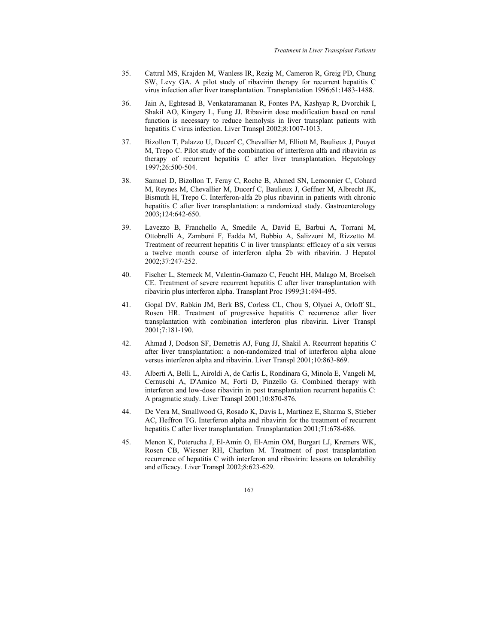- 35. Cattral MS, Krajden M, Wanless IR, Rezig M, Cameron R, Greig PD, Chung SW, Levy GA. A pilot study of ribavirin therapy for recurrent hepatitis C virus infection after liver transplantation. Transplantation 1996;61:1483-1488.
- 36. Jain A, Eghtesad B, Venkataramanan R, Fontes PA, Kashyap R, Dvorchik I, Shakil AO, Kingery L, Fung JJ. Ribavirin dose modification based on renal function is necessary to reduce hemolysis in liver transplant patients with hepatitis C virus infection. Liver Transpl 2002;8:1007-1013.
- 37. Bizollon T, Palazzo U, Ducerf C, Chevallier M, Elliott M, Baulieux J, Pouyet M, Trepo C. Pilot study of the combination of interferon alfa and ribavirin as therapy of recurrent hepatitis C after liver transplantation. Hepatology 1997;26:500-504.
- 38. Samuel D, Bizollon T, Feray C, Roche B, Ahmed SN, Lemonnier C, Cohard M, Reynes M, Chevallier M, Ducerf C, Baulieux J, Geffner M, Albrecht JK, Bismuth H, Trepo C. Interferon-alfa 2b plus ribavirin in patients with chronic hepatitis C after liver transplantation: a randomized study. Gastroenterology 2003;124:642-650.
- 39. Lavezzo B, Franchello A, Smedile A, David E, Barbui A, Torrani M, Ottobrelli A, Zamboni F, Fadda M, Bobbio A, Salizzoni M, Rizzetto M. Treatment of recurrent hepatitis C in liver transplants: efficacy of a six versus a twelve month course of interferon alpha 2b with ribavirin. J Hepatol 2002;37:247-252.
- 40. Fischer L, Sterneck M, Valentin-Gamazo C, Feucht HH, Malago M, Broelsch CE. Treatment of severe recurrent hepatitis C after liver transplantation with ribavirin plus interferon alpha. Transplant Proc 1999;31:494-495.
- 41. Gopal DV, Rabkin JM, Berk BS, Corless CL, Chou S, Olyaei A, Orloff SL, Rosen HR. Treatment of progressive hepatitis C recurrence after liver transplantation with combination interferon plus ribavirin. Liver Transpl 2001;7:181-190.
- 42. Ahmad J, Dodson SF, Demetris AJ, Fung JJ, Shakil A. Recurrent hepatitis C after liver transplantation: a non-randomized trial of interferon alpha alone versus interferon alpha and ribavirin. Liver Transpl 2001;10:863-869.
- 43. Alberti A, Belli L, Airoldi A, de Carlis L, Rondinara G, Minola E, Vangeli M, Cernuschi A, D'Amico M, Forti D, Pinzello G. Combined therapy with interferon and low-dose ribavirin in post transplantation recurrent hepatitis C: A pragmatic study. Liver Transpl 2001;10:870-876.
- 44. De Vera M, Smallwood G, Rosado K, Davis L, Martinez E, Sharma S, Stieber AC, Heffron TG. Interferon alpha and ribavirin for the treatment of recurrent hepatitis C after liver transplantation. Transplantation 2001;71:678-686.
- 45. Menon K, Poterucha J, El-Amin O, El-Amin OM, Burgart LJ, Kremers WK, Rosen CB, Wiesner RH, Charlton M. Treatment of post transplantation recurrence of hepatitis C with interferon and ribavirin: lessons on tolerability and efficacy. Liver Transpl 2002;8:623-629.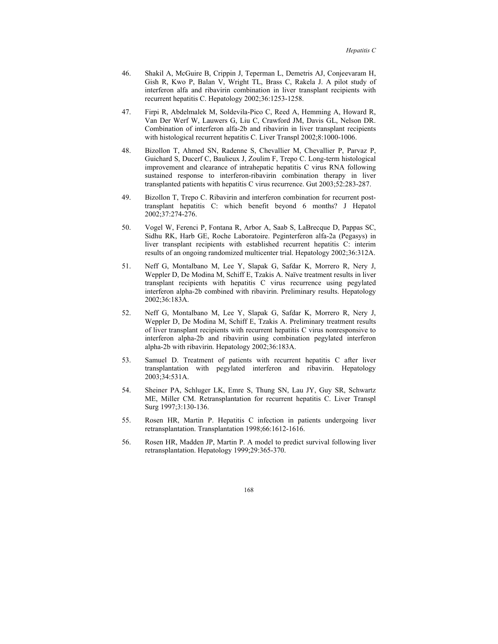- 46. Shakil A, McGuire B, Crippin J, Teperman L, Demetris AJ, Conjeevaram H, Gish R, Kwo P, Balan V, Wright TL, Brass C, Rakela J. A pilot study of interferon alfa and ribavirin combination in liver transplant recipients with recurrent hepatitis C. Hepatology 2002;36:1253-1258.
- 47. Firpi R, Abdelmalek M, Soldevila-Pico C, Reed A, Hemming A, Howard R, Van Der Werf W, Lauwers G, Liu C, Crawford JM, Davis GL, Nelson DR. Combination of interferon alfa-2b and ribavirin in liver transplant recipients with histological recurrent hepatitis C. Liver Transpl 2002;8:1000-1006.
- 48. Bizollon T, Ahmed SN, Radenne S, Chevallier M, Chevallier P, Parvaz P, Guichard S, Ducerf C, Baulieux J, Zoulim F, Trepo C. Long-term histological improvement and clearance of intrahepatic hepatitis C virus RNA following sustained response to interferon-ribavirin combination therapy in liver transplanted patients with hepatitis C virus recurrence. Gut 2003;52:283-287.
- 49. Bizollon T, Trepo C. Ribavirin and interferon combination for recurrent posttransplant hepatitis C: which benefit beyond 6 months? J Hepatol 2002;37:274-276.
- 50. Vogel W, Ferenci P, Fontana R, Arbor A, Saab S, LaBrecque D, Pappas SC, Sidhu RK, Harb GE, Roche Laboratoire. Peginterferon alfa-2a (Pegasys) in liver transplant recipients with established recurrent hepatitis C: interim results of an ongoing randomized multicenter trial. Hepatology 2002;36:312A.
- 51. Neff G, Montalbano M, Lee Y, Slapak G, Safdar K, Morrero R, Nery J, Weppler D, De Modina M, Schiff E, Tzakis A. Naïve treatment results in liver transplant recipients with hepatitis C virus recurrence using pegylated interferon alpha-2b combined with ribavirin. Preliminary results. Hepatology 2002;36:183A.
- 52. Neff G, Montalbano M, Lee Y, Slapak G, Safdar K, Morrero R, Nery J, Weppler D, De Modina M, Schiff E, Tzakis A. Preliminary treatment results of liver transplant recipients with recurrent hepatitis C virus nonresponsive to interferon alpha-2b and ribavirin using combination pegylated interferon alpha-2b with ribavirin. Hepatology 2002;36:183A.
- 53. Samuel D. Treatment of patients with recurrent hepatitis C after liver transplantation with pegylated interferon and ribavirin. Hepatology 2003;34:531A.
- 54. Sheiner PA, Schluger LK, Emre S, Thung SN, Lau JY, Guy SR, Schwartz ME, Miller CM. Retransplantation for recurrent hepatitis C. Liver Transpl Surg 1997;3:130-136.
- 55. Rosen HR, Martin P. Hepatitis C infection in patients undergoing liver retransplantation. Transplantation 1998;66:1612-1616.
- 56. Rosen HR, Madden JP, Martin P. A model to predict survival following liver retransplantation. Hepatology 1999;29:365-370.